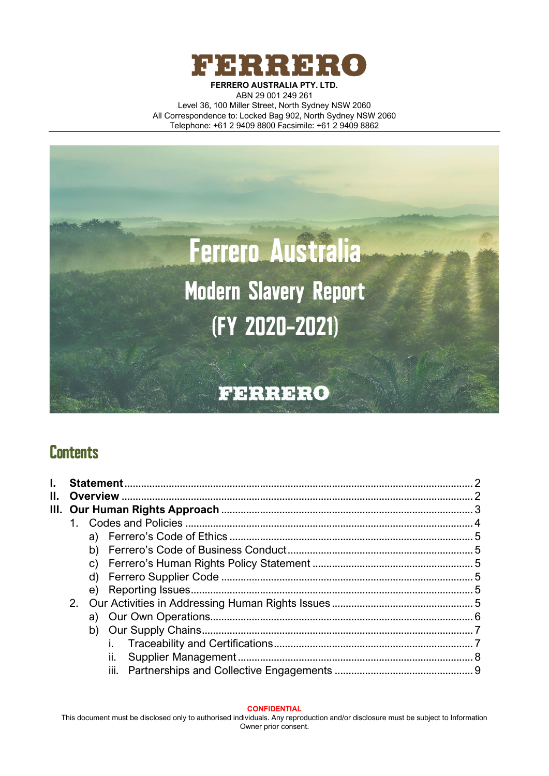



# **Contents**

<span id="page-0-0"></span>

| Н. |  |  |    |  |
|----|--|--|----|--|
|    |  |  |    |  |
|    |  |  |    |  |
|    |  |  |    |  |
|    |  |  |    |  |
|    |  |  |    |  |
|    |  |  |    |  |
|    |  |  |    |  |
|    |  |  |    |  |
|    |  |  |    |  |
|    |  |  |    |  |
|    |  |  |    |  |
|    |  |  | н. |  |
|    |  |  |    |  |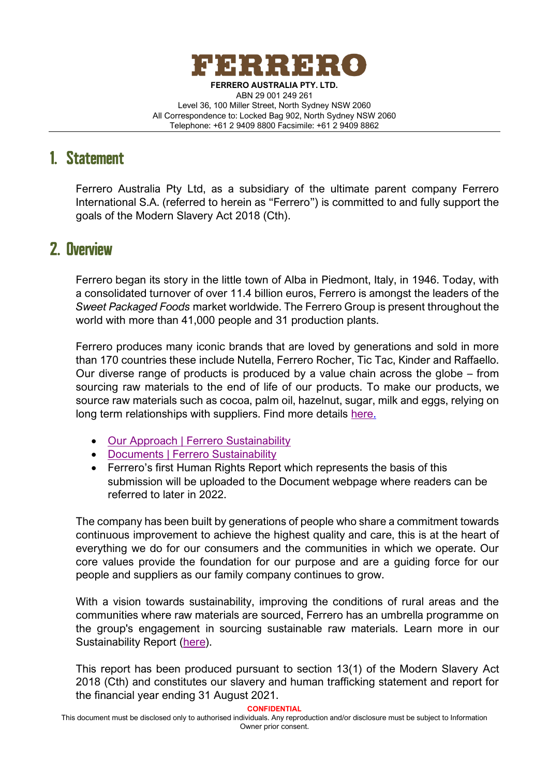

# 1. Statement

Ferrero Australia Pty Ltd, as a subsidiary of the ultimate parent company Ferrero International S.A. (referred to herein as "Ferrero") is committed to and fully support the goals of the Modern Slavery Act 2018 (Cth).

## <span id="page-1-0"></span>2. Overview

Ferrero began its story in the little town of Alba in Piedmont, Italy, in 1946. Today, with a consolidated turnover of over 11.4 billion euros, Ferrero is amongst the leaders of the *Sweet Packaged Foods* market worldwide. The Ferrero Group is present throughout the world with more than 41,000 people and 31 production plants.

Ferrero produces many iconic brands that are loved by generations and sold in more than 170 countries these include Nutella, Ferrero Rocher, Tic Tac, Kinder and Raffaello. Our diverse range of products is produced by a value chain across the globe – from sourcing raw materials to the end of life of our products. To make our products, we source raw materials such as cocoa, palm oil, hazelnut, sugar, milk and eggs, relying on long term relationships with suppliers. Find more details [here.](https://www.ferrerosustainability.com/int/en/our-approach/source-ingredients-responsibly)

- [Our Approach | Ferrero Sustainability](https://www.ferrerosustainability.com/int/en/our-approach)
- [Documents | Ferrero Sustainability](https://www.ferrerosustainability.com/int/en/documents)
- Ferrero's first Human Rights Report which represents the basis of this submission will be uploaded to the Document webpage where readers can be referred to later in 2022.

The company has been built by generations of people who share a commitment towards continuous improvement to achieve the highest quality and care, this is at the heart of everything we do for our consumers and the communities in which we operate. Our core values provide the foundation for our purpose and are a guiding force for our people and suppliers as our family company continues to grow.

With a vision towards sustainability, improving the conditions of rural areas and the communities where raw materials are sourced, Ferrero has an umbrella programme on the group's engagement in sourcing sustainable raw materials. Learn more in our Sustainability Report [\(here\)](https://www.ferrerosustainability.com/int/sites/ferrerosustainability_int/files/2021-02/ferrero_sr_2019_february_2021.pdf).

This report has been produced pursuant to section 13(1) of the Modern Slavery Act 2018 (Cth) and constitutes our slavery and human trafficking statement and report for the financial year ending 31 August 2021.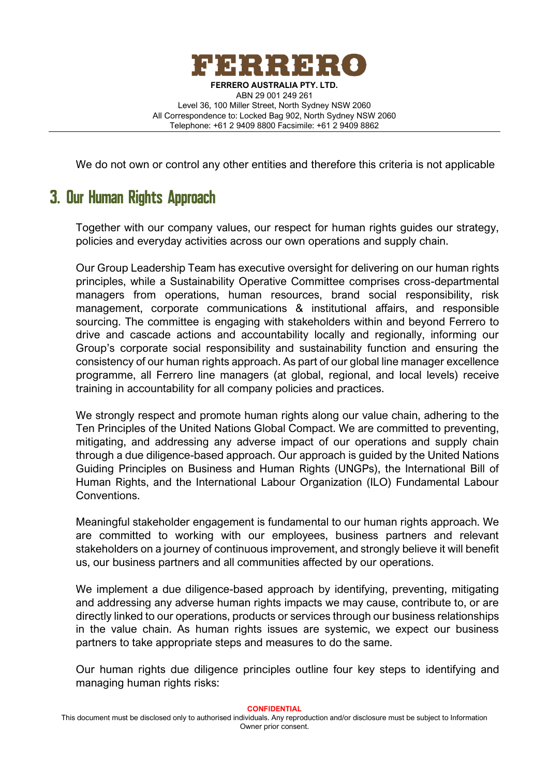

We do not own or control any other entities and therefore this criteria is not applicable

# <span id="page-2-0"></span>3. Our Human Rights Approach

Together with our company values, our respect for human rights guides our strategy, policies and everyday activities across our own operations and supply chain.

Our Group Leadership Team has executive oversight for delivering on our human rights principles, while a Sustainability Operative Committee comprises cross-departmental managers from operations, human resources, brand social responsibility, risk management, corporate communications & institutional affairs, and responsible sourcing. The committee is engaging with stakeholders within and beyond Ferrero to drive and cascade actions and accountability locally and regionally, informing our Group's corporate social responsibility and sustainability function and ensuring the consistency of our human rights approach. As part of our global line manager excellence programme, all Ferrero line managers (at global, regional, and local levels) receive training in accountability for all company policies and practices.

We strongly respect and promote human rights along our value chain, adhering to the Ten Principles of the United Nations Global Compact. We are committed to preventing, mitigating, and addressing any adverse impact of our operations and supply chain through a due diligence-based approach. Our approach is guided by the United Nations Guiding Principles on Business and Human Rights (UNGPs), the International Bill of Human Rights, and the International Labour Organization (ILO) Fundamental Labour Conventions.

Meaningful stakeholder engagement is fundamental to our human rights approach. We are committed to working with our employees, business partners and relevant stakeholders on a journey of continuous improvement, and strongly believe it will benefit us, our business partners and all communities affected by our operations.

We implement a due diligence-based approach by identifying, preventing, mitigating and addressing any adverse human rights impacts we may cause, contribute to, or are directly linked to our operations, products or services through our business relationships in the value chain. As human rights issues are systemic, we expect our business partners to take appropriate steps and measures to do the same.

Our human rights due diligence principles outline four key steps to identifying and managing human rights risks: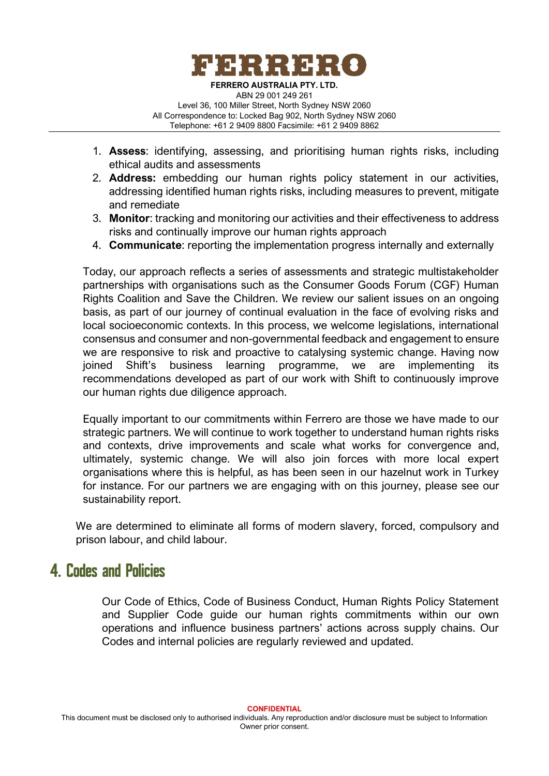

- 1. **Assess**: identifying, assessing, and prioritising human rights risks, including ethical audits and assessments
- 2. **Address:** embedding our human rights policy statement in our activities, addressing identified human rights risks, including measures to prevent, mitigate and remediate
- 3. **Monitor**: tracking and monitoring our activities and their effectiveness to address risks and continually improve our human rights approach
- 4. **Communicate**: reporting the implementation progress internally and externally

Today, our approach reflects a series of assessments and strategic multistakeholder partnerships with organisations such as the Consumer Goods Forum (CGF) Human Rights Coalition and Save the Children. We review our salient issues on an ongoing basis, as part of our journey of continual evaluation in the face of evolving risks and local socioeconomic contexts. In this process, we welcome legislations, international consensus and consumer and non-governmental feedback and engagement to ensure we are responsive to risk and proactive to catalysing systemic change. Having now joined Shift's business learning programme, we are implementing its recommendations developed as part of our work with Shift to continuously improve our human rights due diligence approach.

Equally important to our commitments within Ferrero are those we have made to our strategic partners. We will continue to work together to understand human rights risks and contexts, drive improvements and scale what works for convergence and, ultimately, systemic change. We will also join forces with more local expert organisations where this is helpful, as has been seen in our hazelnut work in Turkey for instance. For our partners we are engaging with on this journey, please see our sustainability report.

We are determined to eliminate all forms of modern slavery, forced, compulsory and prison labour, and child labour.

## <span id="page-3-0"></span>**4. Codes and Policies**

Our Code of Ethics, Code of Business Conduct, Human Rights Policy Statement and Supplier Code guide our human rights commitments within our own operations and influence business partners' actions across supply chains. Our Codes and internal policies are regularly reviewed and updated.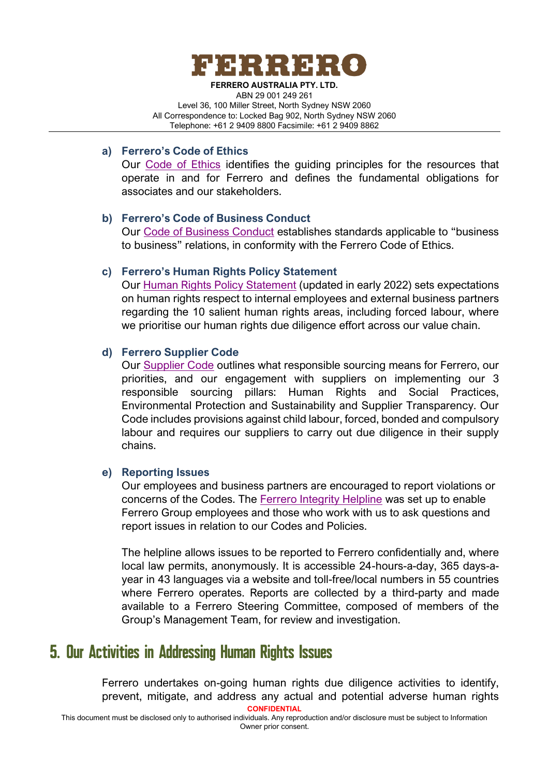

### <span id="page-4-0"></span>**a) Ferrero's Code of Ethics**

Our [Code of Ethics](https://www.ferrerosustainability.com/int/sites/ferrerosustainability_int/files/2020-12/code_of_ethics_csr.pdf) identifies the guiding principles for the resources that operate in and for Ferrero and defines the fundamental obligations for associates and our stakeholders.

### <span id="page-4-1"></span>**b) Ferrero's Code of Business Conduct**

Our [Code of Business Conduct](https://www.ferrerosustainability.com/int/sites/ferrerosustainability_int/files/2020-12/code_of_business_conduct_csr.pdf) establishes standards applicable to "business to business" relations, in conformity with the Ferrero Code of Ethics.

### <span id="page-4-2"></span>**c) Ferrero's Human Rights Policy Statement**

Our [Human Rights Policy Statement](https://www.ferrerosustainability.com/int/sites/ferrerosustainability_int/files/2022-01/ferrero_hrps_v1.1_def.pdf) (updated in early 2022) sets expectations on human rights respect to internal employees and external business partners regarding the 10 salient human rights areas, including forced labour, where we prioritise our human rights due diligence effort across our value chain.

### <span id="page-4-3"></span>**d) Ferrero Supplier Code**

Our [Supplier Code](https://www.ferrerosustainability.com/int/sites/ferrerosustainability_int/files/2020-12/supplier_code_csr.pdf) outlines what responsible sourcing means for Ferrero, our priorities, and our engagement with suppliers on implementing our 3 responsible sourcing pillars: Human Rights and Social Practices, Environmental Protection and Sustainability and Supplier Transparency. Our Code includes provisions against child labour, forced, bonded and compulsory labour and requires our suppliers to carry out due diligence in their supply chains.

### <span id="page-4-4"></span>**e) Reporting Issues**

Our employees and business partners are encouraged to report violations or concerns of the Codes. The [Ferrero Integrity Helpline](https://app.convercent.com/en-us/Anonymous/IssueIntake/LandingPage/c2e4e920-7d18-e811-80e2-000d3ab6ebad) was set up to enable Ferrero Group employees and those who work with us to ask questions and report issues in relation to our Codes and Policies.

The helpline allows issues to be reported to Ferrero confidentially and, where local law permits, anonymously. It is accessible 24-hours-a-day, 365 days-ayear in 43 languages via a website and toll-free/local numbers in 55 countries where Ferrero operates. Reports are collected by a third-party and made available to a Ferrero Steering Committee, composed of members of the Group's Management Team, for review and investigation.

## 5. Our Activities in Addressing Human Rights Issues

Ferrero undertakes on-going human rights due diligence activities to identify, prevent, mitigate, and address any actual and potential adverse human rights

<span id="page-4-5"></span>**CONFIDENTIAL**

This document must be disclosed only to authorised individuals. Any reproduction and/or disclosure must be subject to Information Owner prior consent.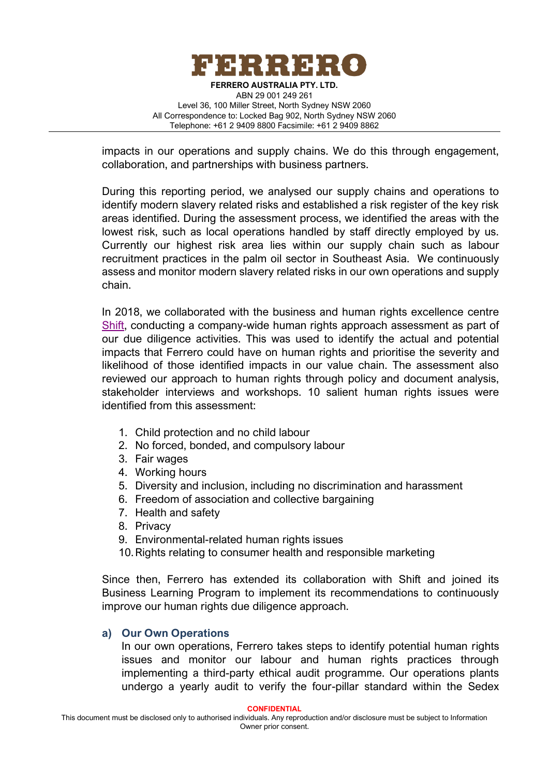

impacts in our operations and supply chains. We do this through engagement, collaboration, and partnerships with business partners.

During this reporting period, we analysed our supply chains and operations to identify modern slavery related risks and established a risk register of the key risk areas identified. During the assessment process, we identified the areas with the lowest risk, such as local operations handled by staff directly employed by us. Currently our highest risk area lies within our supply chain such as labour recruitment practices in the palm oil sector in Southeast Asia. We continuously assess and monitor modern slavery related risks in our own operations and supply chain.

In 2018, we collaborated with the business and human rights excellence centre [Shift,](https://shiftproject.org/) conducting a company-wide human rights approach assessment as part of our due diligence activities. This was used to identify the actual and potential impacts that Ferrero could have on human rights and prioritise the severity and likelihood of those identified impacts in our value chain. The assessment also reviewed our approach to human rights through policy and document analysis, stakeholder interviews and workshops. 10 salient human rights issues were identified from this assessment:

- 1. Child protection and no child labour
- 2. No forced, bonded, and compulsory labour
- 3. Fair wages
- 4. Working hours
- 5. Diversity and inclusion, including no discrimination and harassment
- 6. Freedom of association and collective bargaining
- 7. Health and safety
- 8. Privacy
- 9. Environmental-related human rights issues
- 10.Rights relating to consumer health and responsible marketing

Since then, Ferrero has extended its collaboration with Shift and joined its Business Learning Program to implement its recommendations to continuously improve our human rights due diligence approach.

### <span id="page-5-0"></span>**a) Our Own Operations**

In our own operations, Ferrero takes steps to identify potential human rights issues and monitor our labour and human rights practices through implementing a third-party ethical audit programme. Our operations plants undergo a yearly audit to verify the four-pillar standard within the Sedex

**CONFIDENTIAL**

This document must be disclosed only to authorised individuals. Any reproduction and/or disclosure must be subject to Information Owner prior consent.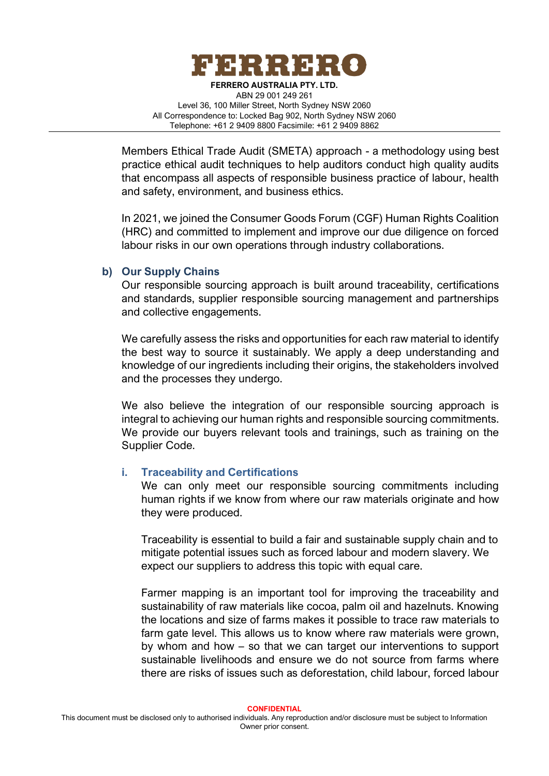

Members Ethical Trade Audit (SMETA) approach - a methodology using best practice ethical audit techniques to help auditors conduct high quality audits that encompass all aspects of responsible business practice of labour, health and safety, environment, and business ethics.

In 2021, we joined the Consumer Goods Forum (CGF) Human Rights Coalition (HRC) and committed to implement and improve our due diligence on forced labour risks in our own operations through industry collaborations.

### <span id="page-6-0"></span>**b) Our Supply Chains**

Our responsible sourcing approach is built around traceability, certifications and standards, supplier responsible sourcing management and partnerships and collective engagements.

We carefully assess the risks and opportunities for each raw material to identify the best way to source it sustainably. We apply a deep understanding and knowledge of our ingredients including their origins, the stakeholders involved and the processes they undergo.

We also believe the integration of our responsible sourcing approach is integral to achieving our human rights and responsible sourcing commitments. We provide our buyers relevant tools and trainings, such as training on the Supplier Code.

### <span id="page-6-1"></span>**i. Traceability and Certifications**

We can only meet our responsible sourcing commitments including human rights if we know from where our raw materials originate and how they were produced.

Traceability is essential to build a fair and sustainable supply chain and to mitigate potential issues such as forced labour and modern slavery. We expect our suppliers to address this topic with equal care.

Farmer mapping is an important tool for improving the traceability and sustainability of raw materials like cocoa, palm oil and hazelnuts. Knowing the locations and size of farms makes it possible to trace raw materials to farm gate level. This allows us to know where raw materials were grown, by whom and how – so that we can target our interventions to support sustainable livelihoods and ensure we do not source from farms where there are risks of issues such as deforestation, child labour, forced labour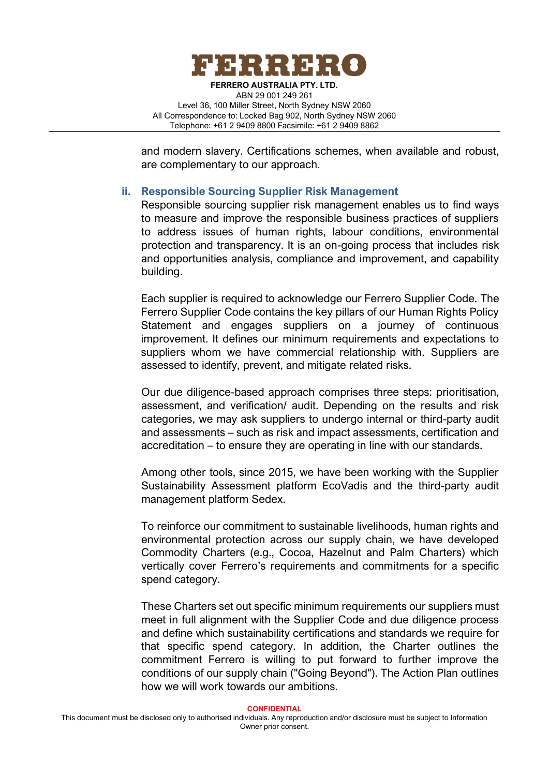

and modern slavery. Certifications schemes, when available and robust, are complementary to our approach.

### <span id="page-7-0"></span>**ii. Responsible Sourcing Supplier Risk Management**

Responsible sourcing supplier risk management enables us to find ways to measure and improve the responsible business practices of suppliers to address issues of human rights, labour conditions, environmental protection and transparency. It is an on-going process that includes risk and opportunities analysis, compliance and improvement, and capability building.

Each supplier is required to acknowledge our Ferrero Supplier Code. The Ferrero Supplier Code contains the key pillars of our Human Rights Policy Statement and engages suppliers on a journey of continuous improvement. It defines our minimum requirements and expectations to suppliers whom we have commercial relationship with. Suppliers are assessed to identify, prevent, and mitigate related risks.

Our due diligence-based approach comprises three steps: prioritisation, assessment, and verification/ audit. Depending on the results and risk categories, we may ask suppliers to undergo internal or third-party audit and assessments – such as risk and impact assessments, certification and accreditation – to ensure they are operating in line with our standards.

Among other tools, since 2015, we have been working with the Supplier Sustainability Assessment platform EcoVadis and the third-party audit management platform Sedex.

To reinforce our commitment to sustainable livelihoods, human rights and environmental protection across our supply chain, we have developed Commodity Charters (e.g., Cocoa, Hazelnut and Palm Charters) which vertically cover Ferrero's requirements and commitments for a specific spend category.

These Charters set out specific minimum requirements our suppliers must meet in full alignment with the Supplier Code and due diligence process and define which sustainability certifications and standards we require for that specific spend category. In addition, the Charter outlines the commitment Ferrero is willing to put forward to further improve the conditions of our supply chain ("Going Beyond"). The Action Plan outlines how we will work towards our ambitions.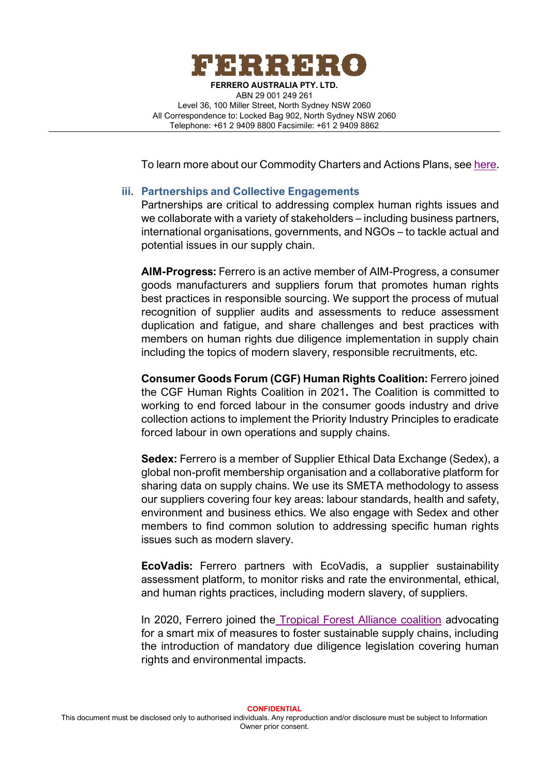

To learn more about our Commodity Charters and Actions Plans, see [here.](https://www.ferrerosustainability.com/int/en/documents)

### <span id="page-8-0"></span>**iii. Partnerships and Collective Engagements**

Partnerships are critical to addressing complex human rights issues and we collaborate with a variety of stakeholders – including business partners, international organisations, governments, and NGOs – to tackle actual and potential issues in our supply chain.

**AIM-Progress:** Ferrero is an active member of AIM-Progress, a consumer goods manufacturers and suppliers forum that promotes human rights best practices in responsible sourcing. We support the process of mutual recognition of supplier audits and assessments to reduce assessment duplication and fatigue, and share challenges and best practices with members on human rights due diligence implementation in supply chain including the topics of modern slavery, responsible recruitments, etc.

**Consumer Goods Forum (CGF) Human Rights Coalition:** Ferrero joined the CGF Human Rights Coalition in 2021**.** The Coalition is committed to working to end forced labour in the consumer goods industry and drive collection actions to implement the Priority Industry Principles to eradicate forced labour in own operations and supply chains.

**Sedex:** Ferrero is a member of Supplier Ethical Data Exchange (Sedex), a global non-profit membership organisation and a collaborative platform for sharing data on supply chains. We use its SMETA methodology to assess our suppliers covering four key areas: labour standards, health and safety, environment and business ethics. We also engage with Sedex and other members to find common solution to addressing specific human rights issues such as modern slavery.

**EcoVadis:** Ferrero partners with EcoVadis, a supplier sustainability assessment platform, to monitor risks and rate the environmental, ethical, and human rights practices, including modern slavery, of suppliers.

In 2020, Ferrero joined the [Tropical Forest Alliance coalition](https://www.tropicalforestalliance.org/assets/Uploads/TFA-EU-position-paper_Updated_27th-July-2021.pdf) advocating for a smart mix of measures to foster sustainable supply chains, including the introduction of mandatory due diligence legislation covering human rights and environmental impacts.

**CONFIDENTIAL** This document must be disclosed only to authorised individuals. Any reproduction and/or disclosure must be subject to Information Owner prior consent.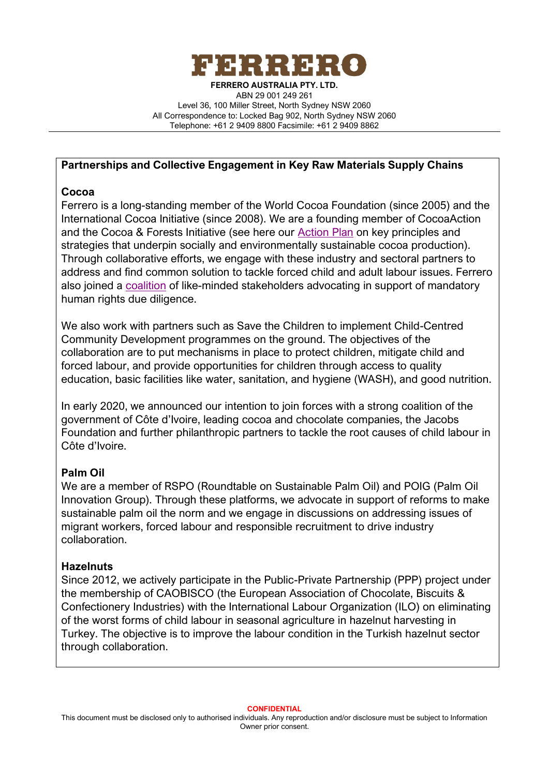

### **Partnerships and Collective Engagement in Key Raw Materials Supply Chains**

## **Cocoa**

Ferrero is a long-standing member of the World Cocoa Foundation (since 2005) and the International Cocoa Initiative (since 2008). We are a founding member of CocoaAction and the Cocoa & Forests Initiative (see here our [Action Plan](https://www.ferrerosustainability.com/int/sites/ferrerosustainability_int/files/2020-12/2604.pdf) on key principles and strategies that underpin socially and environmentally sustainable cocoa production). Through collaborative efforts, we engage with these industry and sectoral partners to address and find common solution to tackle forced child and adult labour issues. Ferrero also joined a [coalition](https://www.voicenetwork.eu/2019/12/cocoa-companies-call-for-human-rights-and-environmental-due-diligence-requirements/) of like-minded stakeholders advocating in support of mandatory human rights due diligence.

We also work with partners such as Save the Children to implement Child-Centred Community Development programmes on the ground. The objectives of the collaboration are to put mechanisms in place to protect children, mitigate child and forced labour, and provide opportunities for children through access to quality education, basic facilities like water, sanitation, and hygiene (WASH), and good nutrition.

In early 2020, we announced our intention to join forces with a strong coalition of the government of Côte d'Ivoire, leading cocoa and chocolate companies, the Jacobs Foundation and further philanthropic partners to tackle the root causes of child labour in Côte d'Ivoire.

## **Palm Oil**

We are a member of RSPO (Roundtable on Sustainable Palm Oil) and POIG (Palm Oil Innovation Group). Through these platforms, we advocate in support of reforms to make sustainable palm oil the norm and we engage in discussions on addressing issues of migrant workers, forced labour and responsible recruitment to drive industry collaboration.

## **Hazelnuts**

Since 2012, we actively participate in the Public-Private Partnership (PPP) project under the membership of CAOBISCO (the European Association of Chocolate, Biscuits & Confectionery Industries) with the International Labour Organization (ILO) on eliminating of the worst forms of child labour in seasonal agriculture in hazelnut harvesting in Turkey. The objective is to improve the labour condition in the Turkish hazelnut sector through collaboration.